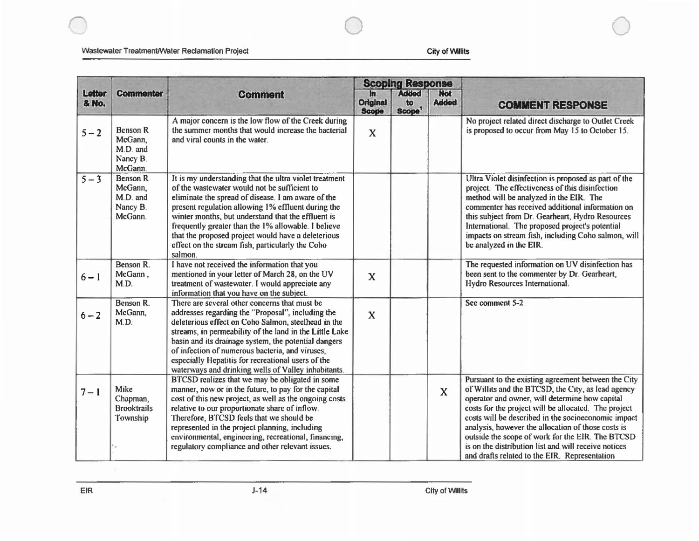0 0

|                 | <b>Commenter</b>                                              | <b>Comment</b>                                                                                                                                                                                                                                                                                                                                                                                                                                       | <b>Scoping Response</b>                 |                                          |                            |                                                                                                                                                                                                                                                                                                                                                                                                                                                                                               |
|-----------------|---------------------------------------------------------------|------------------------------------------------------------------------------------------------------------------------------------------------------------------------------------------------------------------------------------------------------------------------------------------------------------------------------------------------------------------------------------------------------------------------------------------------------|-----------------------------------------|------------------------------------------|----------------------------|-----------------------------------------------------------------------------------------------------------------------------------------------------------------------------------------------------------------------------------------------------------------------------------------------------------------------------------------------------------------------------------------------------------------------------------------------------------------------------------------------|
| Letter<br>& No. |                                                               |                                                                                                                                                                                                                                                                                                                                                                                                                                                      | $ln$<br><b>Original</b><br><b>Scope</b> | <b>Added</b><br>to<br>Scope <sup>1</sup> | <b>Not</b><br><b>Added</b> | <b>COMMENT RESPONSE</b>                                                                                                                                                                                                                                                                                                                                                                                                                                                                       |
| $5 - 2$         | <b>Benson R</b><br>McGann,<br>M.D. and<br>Nancy B.<br>McGann. | A major concern is the low flow of the Creek during<br>the summer months that would increase the bacterial<br>and viral counts in the water.                                                                                                                                                                                                                                                                                                         | X                                       |                                          |                            | No project related direct discharge to Outlet Creek<br>is proposed to occur from May 15 to October 15.                                                                                                                                                                                                                                                                                                                                                                                        |
| $5 - 3$         | <b>Benson R</b><br>McGann,<br>M.D. and<br>Nancy B.<br>McGann. | It is my understanding that the ultra violet treatment<br>of the wastewater would not be sufficient to<br>eliminate the spread of disease. I am aware of the<br>present regulation allowing 1% effluent during the<br>winter months, but understand that the effluent is<br>frequently greater than the 1% allowable. I believe<br>that the proposed project would have a deleterious<br>effect on the stream fish, particularly the Coho<br>salmon. |                                         |                                          |                            | Ultra Violet disinfection is proposed as part of the<br>project. The effectiveness of this disinfection<br>method will be analyzed in the EIR. The<br>commenter has received additional information on<br>this subject from Dr. Gearheart, Hydro Resources<br>International. The proposed project's potential<br>impacts on stream fish, including Coho salmon, will<br>be analyzed in the EIR.                                                                                               |
| $6 - 1$         | Benson R.<br>McGann,<br>M.D.                                  | I have not received the information that you<br>mentioned in your letter of March 28, on the UV<br>treatment of wastewater. I would appreciate any<br>information that you have on the subject.                                                                                                                                                                                                                                                      | $\mathbf x$                             |                                          |                            | The requested information on UV disinfection has<br>been sent to the commenter by Dr. Gearheart,<br>Hydro Resources International.                                                                                                                                                                                                                                                                                                                                                            |
| $6 - 2$         | Benson R.<br>McGann,<br>M.D.                                  | There are several other concerns that must be<br>addresses regarding the "Proposal", including the<br>deleterious effect on Coho Salmon, steelhead in the<br>streams, in permeability of the land in the Little Lake<br>basin and its drainage system, the potential dangers<br>of infection of numerous bacteria, and viruses,<br>especially Hepatitis for recreational users of the<br>waterways and drinking wells of Valley inhabitants.         | $\mathbf x$                             |                                          |                            | See comment 5-2                                                                                                                                                                                                                                                                                                                                                                                                                                                                               |
| $7 - 1$         | Mike<br>Chapman,<br><b>Brooktrails</b><br>Township            | BTCSD realizes that we may be obligated in some<br>manner, now or in the future, to pay for the capital<br>cost of this new project, as well as the ongoing costs<br>relative to our proportionate share of inflow.<br>Therefore, BTCSD feels that we should be<br>represented in the project planning, including<br>environmental, engineering, recreational, financing,<br>regulatory compliance and other relevant issues.                        |                                         |                                          | $\mathbf{x}$               | Pursuant to the existing agreement between the City<br>of Willits and the BTCSD, the City, as lead agency<br>operator and owner, will determine how capital<br>costs for the project will be allocated. The project<br>costs will be described in the socioeconomic impact<br>analysis, however the allocation of those costs is<br>outside the scope of work for the EIR. The BTCSD<br>is on the distribution list and will receive notices<br>and drafts related to the EIR. Representation |